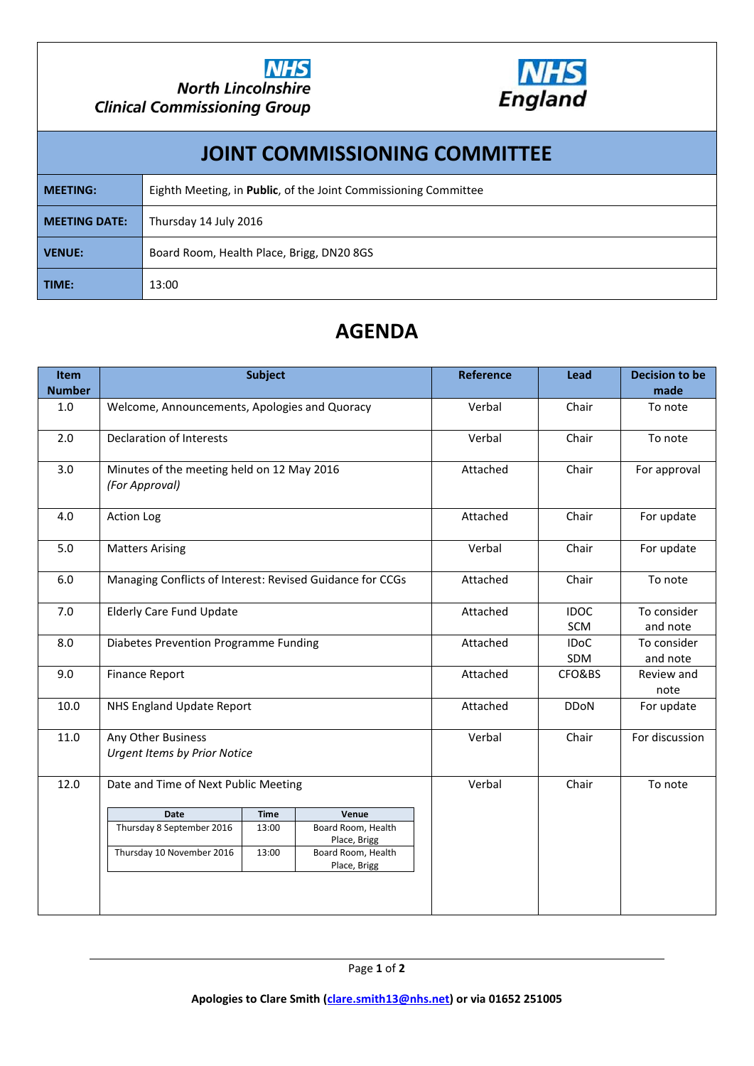



## **JOINT COMMISSIONING COMMITTEE MEETING:** Eighth Meeting, in **Public**, of the Joint Commissioning Committee **MEETING DATE:** Thursday 14 July 2016 **VENUE:** Board Room, Health Place, Brigg, DN20 8GS **TIME:** 13:00

## **AGENDA**

| <b>Item</b>   | <b>Subject</b>                                               |             |                                    | <b>Reference</b> | Lead               | <b>Decision to be</b>   |
|---------------|--------------------------------------------------------------|-------------|------------------------------------|------------------|--------------------|-------------------------|
| <b>Number</b> |                                                              |             |                                    |                  |                    | made                    |
| 1.0           | Welcome, Announcements, Apologies and Quoracy                |             |                                    | Verbal           | Chair              | To note                 |
| 2.0           | <b>Declaration of Interests</b>                              |             |                                    | Verbal           | Chair              | To note                 |
| 3.0           | Minutes of the meeting held on 12 May 2016<br>(For Approval) |             |                                    | Attached         | Chair              | For approval            |
| 4.0           | <b>Action Log</b>                                            |             |                                    | Attached         | Chair              | For update              |
| 5.0           | <b>Matters Arising</b>                                       |             |                                    | Verbal           | Chair              | For update              |
| 6.0           | Managing Conflicts of Interest: Revised Guidance for CCGs    |             |                                    | Attached         | Chair              | To note                 |
| 7.0           | <b>Elderly Care Fund Update</b>                              |             |                                    | Attached         | <b>IDOC</b><br>SCM | To consider<br>and note |
| 8.0           | Diabetes Prevention Programme Funding                        |             |                                    | Attached         | <b>IDoC</b><br>SDM | To consider<br>and note |
| 9.0           | <b>Finance Report</b>                                        |             |                                    | Attached         | CFO&BS             | Review and<br>note      |
| 10.0          | NHS England Update Report                                    |             |                                    | Attached         | <b>DDoN</b>        | For update              |
| 11.0          | Any Other Business<br><b>Urgent Items by Prior Notice</b>    |             |                                    | Verbal           | Chair              | For discussion          |
| 12.0          | Date and Time of Next Public Meeting                         |             |                                    | Verbal           | Chair              | To note                 |
|               | <b>Date</b>                                                  | <b>Time</b> | Venue                              |                  |                    |                         |
|               | Thursday 8 September 2016                                    | 13:00       | Board Room, Health<br>Place, Brigg |                  |                    |                         |
|               | Thursday 10 November 2016                                    | 13:00       | Board Room, Health<br>Place, Brigg |                  |                    |                         |
|               |                                                              |             |                                    |                  |                    |                         |